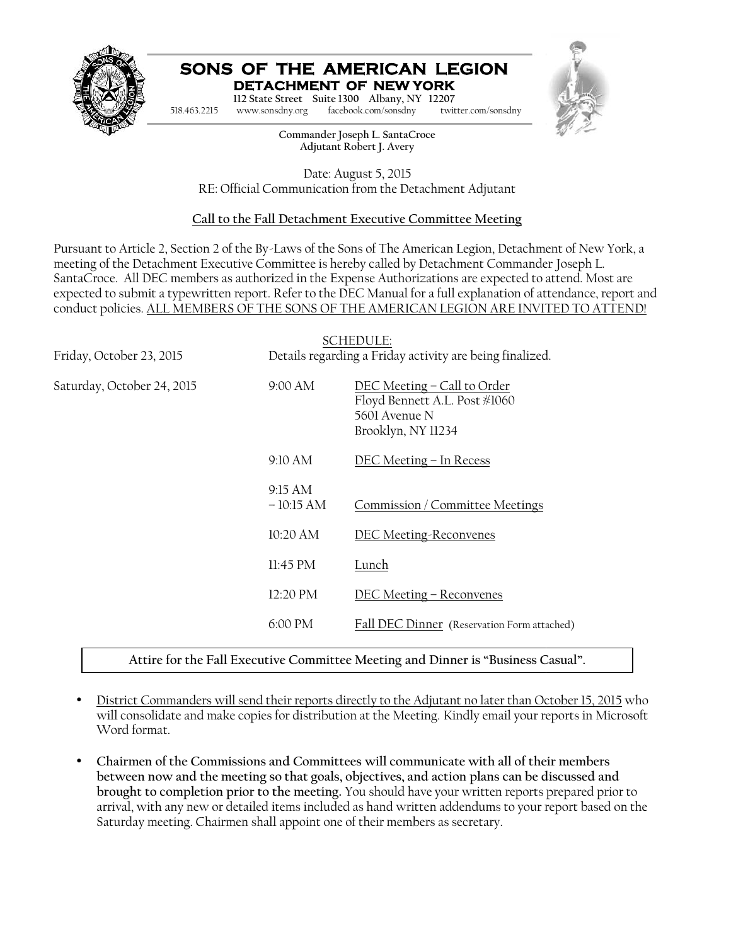

#### **SONS OF THE AMERICAN LEGION DETACHMENT OF NEW YORK**



## **Call to the Fall Detachment Executive Committee Meeting**

Pursuant to Article 2, Section 2 of the By-Laws of the Sons of The American Legion, Detachment of New York, a meeting of the Detachment Executive Committee is hereby called by Detachment Commander Joseph L. SantaCroce. All DEC members as authorized in the Expense Authorizations are expected to attend. Most are expected to submit a typewritten report. Refer to the DEC Manual for a full explanation of attendance, report and conduct policies. ALL MEMBERS OF THE SONS OF THE AMERICAN LEGION ARE INVITED TO ATTEND! of the Detachment Executive Committee is hereby called by Detachment Commander Joseph L.<br>
Dec. All DEC members as authorized in the Expense Authorizations are expected to attend. Mo<br>
1 to submit a typewritten report. Refer

| 518.463.2215                                                                | www.sonsdny.org        | SONS OF THE AMERICAN LEGION<br><b>DETACHMENT OF NEW YORK</b><br>112 State Street Suite 1300 Albany, NY 12207<br>facebook.com/sonsdny<br>twitter.com/sonsdny                                                                                                                                                                                                                                                                                                                                                                         |
|-----------------------------------------------------------------------------|------------------------|-------------------------------------------------------------------------------------------------------------------------------------------------------------------------------------------------------------------------------------------------------------------------------------------------------------------------------------------------------------------------------------------------------------------------------------------------------------------------------------------------------------------------------------|
|                                                                             |                        | Commander Joseph L. SantaCroce<br>Adjutant Robert J. Avery                                                                                                                                                                                                                                                                                                                                                                                                                                                                          |
|                                                                             |                        | Date: August 5, 2015<br>RE: Official Communication from the Detachment Adjutant                                                                                                                                                                                                                                                                                                                                                                                                                                                     |
|                                                                             |                        | Call to the Fall Detachment Executive Committee Meeting                                                                                                                                                                                                                                                                                                                                                                                                                                                                             |
|                                                                             |                        | Pursuant to Article 2, Section 2 of the By-Laws of the Sons of The American Legion, Detachment of New Yorl<br>meeting of the Detachment Executive Committee is hereby called by Detachment Commander Joseph L.<br>SantaCroce. All DEC members as authorized in the Expense Authorizations are expected to attend. Most are<br>expected to submit a typewritten report. Refer to the DEC Manual for a full explanation of attendance, repor<br>conduct policies. ALL MEMBERS OF THE SONS OF THE AMERICAN LEGION ARE INVITED TO ATTEN |
| Friday, October 23, 2015                                                    |                        | <b>SCHEDULE:</b><br>Details regarding a Friday activity are being finalized.                                                                                                                                                                                                                                                                                                                                                                                                                                                        |
| Saturday, October 24, 2015                                                  | 9:00 AM                | DEC Meeting - Call to Order<br>Floyd Bennett A.L. Post #1060<br>5601 Avenue N<br>Brooklyn, NY 11234                                                                                                                                                                                                                                                                                                                                                                                                                                 |
|                                                                             | 9:10 AM                | DEC Meeting - In Recess                                                                                                                                                                                                                                                                                                                                                                                                                                                                                                             |
|                                                                             | 9:15 AM<br>$-10:15 AM$ | Commission / Committee Meetings                                                                                                                                                                                                                                                                                                                                                                                                                                                                                                     |
|                                                                             | 10:20 AM               | <b>DEC Meeting-Reconvenes</b>                                                                                                                                                                                                                                                                                                                                                                                                                                                                                                       |
|                                                                             | 11:45 PM               | <b>Lunch</b>                                                                                                                                                                                                                                                                                                                                                                                                                                                                                                                        |
|                                                                             | 12:20 PM               | DEC Meeting - Reconvenes                                                                                                                                                                                                                                                                                                                                                                                                                                                                                                            |
|                                                                             | 6:00 PM                | Fall DEC Dinner (Reservation Form attached)                                                                                                                                                                                                                                                                                                                                                                                                                                                                                         |
|                                                                             |                        | Attire for the Fall Executive Committee Meeting and Dinner is "Business Casual".                                                                                                                                                                                                                                                                                                                                                                                                                                                    |
| Word format.                                                                |                        | District Commanders will send their reports directly to the Adjutant no later than October 15, 2015 v<br>will consolidate and make copies for distribution at the Meeting. Kindly email your reports in Micros<br>Chairmen of the Commissions and Committees will communicate with all of their members<br>between now and the meeting so that goals, objectives, and action plans can be discussed and                                                                                                                             |
| Saturday meeting. Chairmen shall appoint one of their members as secretary. |                        | brought to completion prior to the meeting. You should have your written reports prepared prior t<br>arrival, with any new or detailed items included as hand written addendums to your report based on                                                                                                                                                                                                                                                                                                                             |

- District Commanders will send their reports directly to the Adjutant no later than October 15, 2015 who will consolidate and make copies for distribution at the Meeting. Kindly email your reports in Microsoft Word format. <u>District Commanders will send their reports directly to the Adjutant no later than October 15, 2015</u> who<br>will consolidate and make copies for distribution at the Meeting. Kindly email your reports in Microsoft<br>Word format
- **Chairmen of the Commissions and Committees will communicate with all of their members** Chairmen of the Commissions and Committees will communicate with all of their members<br>between now and the meeting so that goals, objectives, and action plans can be discussed and **brought to completion prior to the meeting.** You should have your written reports prepared prior to arrival, with any new or detailed items included as hand written addendums to your report based on the Saturday meeting. Chairmen shall appoint one of their members as secretary.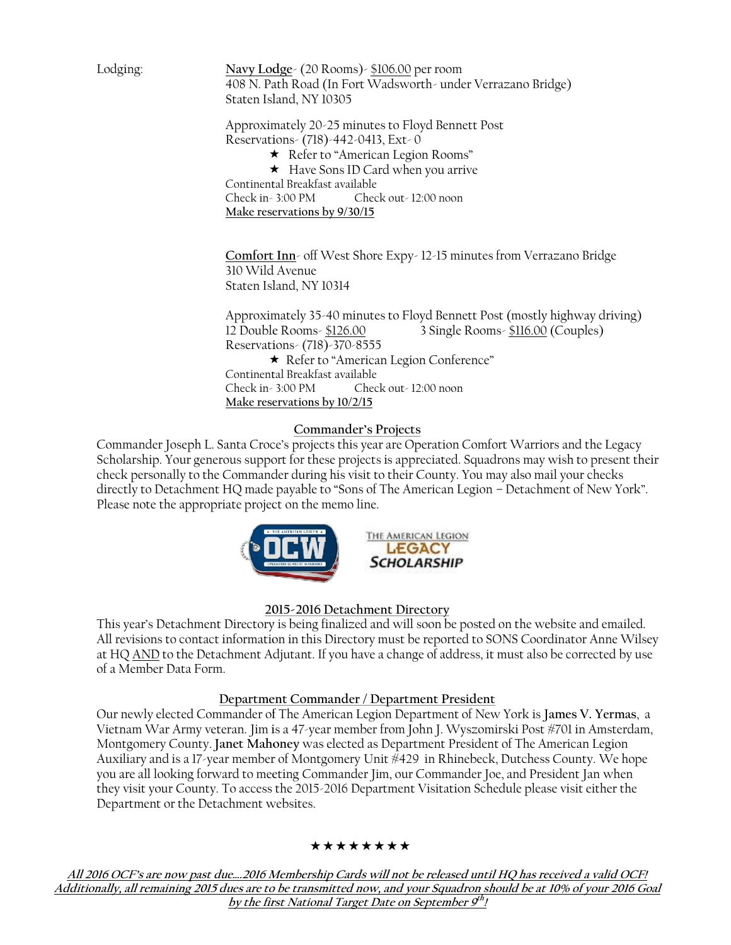Lodging: **Navy Lodge**- (20 Rooms)- \$106.00 per room 408 N. Path Road (In Fort Wadsworth- under Verrazano Bridge) Staten Island, NY 10305 Navy Lodge- (20 Rooms)- <u>\$106.00</u><br>408 N. Path Road (In Fort Wadsw<br>Staten Island, NY 10305<br>Approximately 20-25 minutes to F.<br>Reservations- (718)-442-0413, Ext-

Approximately 20-25 minutes to Floyd Bennett Post Reservations- (718)-442-0413, Ext- 0

\* Refer to "American Legion Rooms"

★ Have Sons ID Card when you arrive Continental Breakfast available Check in - 3:00 PM Check out - 12:00 noon

**Make reservations by 9/30/15 Make reservations 9/30/15**

**Comfort Inn**- off West Shore Expy- 12-15 minutes from Verrazano Bridge 310 Wild Avenue Staten Island, NY 10314 West Shore Expy- 12-15 minutes from Ve<br>10314<br>10314<br>126.00 3 Single Rooms- <u>\$116.0</u>

Approximately 35-40 minutes to Floyd Bennett Post (mostly highway driving) 12 Double Rooms- \$126.00 3 Single Rooms- \$116.00 (Couples) Reservations- (718)-370-8555 Reservations-(718)-370-8555 Refer to "American Legion Conference" Continental Breakfast available Check in - 3:00 PM Check out - 12:00 noon **Make reservations by 10/2/15 Make reservations** 

## **Commander's Projects Projects**

Commander Joseph L. Santa Croce's projects this year are Operation Comfort Warriors and the Legacy Scholarship. Your generous support for these projects is appreciated. Squadrons may wish to present their<br>check personally to the Commander during his visit to their County. You may also mail your checks check personally to the Commander during his visit to their County. You may also mail your checks directly to Detachment HQ made payable to "Sons of The American Legion – Detachment of New York". Please note the appropriate project on the memo line.



## **2015-2016 Detachment Directory**

This year's Detachment Directory is being finalized and will soon be posted on the website and emailed. All revisions to contact information in this Directory must be reported to SONS Coordinator Anne Wilsey at HQ AND to the Detachment Adjutant. If you have a change of address, it must also be corrected by use of a Member Data Form. THE AMERICAN LEGION – Detachment of New York".<br>See note the appropriate project on the memo line.<br>THE AMERICAN LEGION<br>SCHOLARSHIP<br>SCHOLARSHIP<br>SCHOLARSHIP<br>SCHOLARSHIP<br>SCHOLARSHIP<br>SCHOLARSHIP<br>SCHOLARSHIP<br>SCHOLARSHIP<br>SCHOLARS

#### **Department Commander / Department President**

Department Commander / Department President<br>Our newly elected Commander of The American Legion Department of New York is **James V. Yermas**, a Vietnam War Army veteran. Jim is a 47-year member from John J. Wyszomirski Post #701 in Amsterdam, Montgomery County. **Janet Mahoney** was elected as Department President of The American Legion as Auxiliary and is a 17-year member of Montgomery Unit #429 in Rhinebeck, Dutchess County. We hope you are all looking forward to meeting Commander Jim, our Commander Joe, and President Jan when you are all looking forward to meeting Commander Jim, our Commander Joe, and President Jan when<br>they visit your County. To access the 2015-2016 Department Visitation Schedule please visit either the Department or the Detachment websites. at HQ <u>AND</u> to the Detachment Adjutant. If you have a change of address, it must also be corr<br>
of a Member Data Form.<br>
<u>Department Commander / Department President</u><br>
Our newly elected Commander of The American Legion Depa

#### \*\*\*\*\*\*\*\*

*All 2016 OCF's are now past due….2016 Membership Cards will not be released until HQ has received a valid OCF! Additionally, all remaining 2015 dues are to be transmitted now, and your Squadron should be at 10% of your 2016 Goal by the first National Target Date on September 9th !*